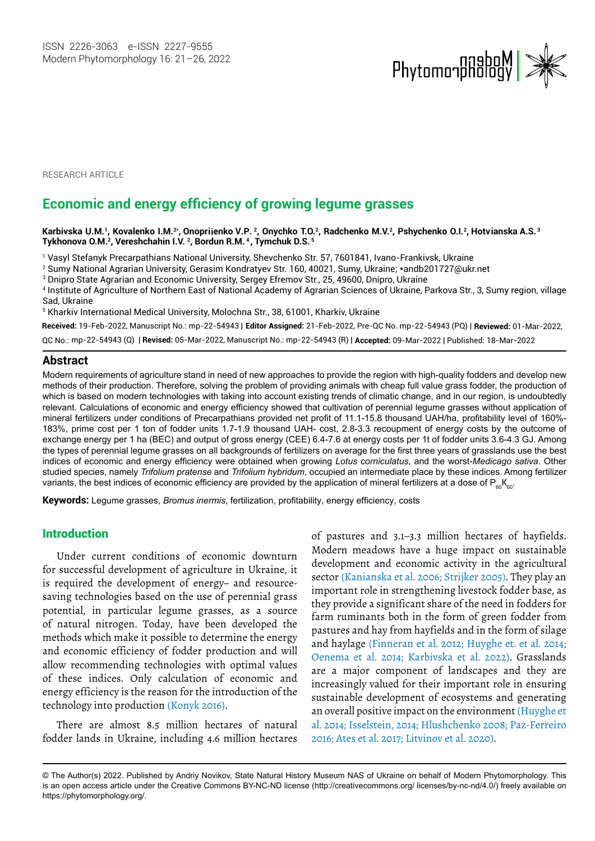

**RESEARCH ARTICLE** 

# **Economic and energy efficiency of growing legume grasses**

**Karbivska U.M.1, Kovalenko I.M.2\* <sup>2</sup>, Onychko T.O.2, Radchenko M.V.2, Pshychenko O.I.<sup>2</sup> <sup>3</sup> , Onopriienko V.P. , Hotvianska A.S. Tykhonova O.M.<sup>2</sup>, Vereshchahin I.V. <sup>2</sup> , Bordun R.M. <sup>4</sup> , Tymchuk D.S. <sup>5</sup>**

1 Vasyl Stefanyk Precarpathians National University, Shevchenko Str. 57, 7601841, Ivano-Frankivsk, Ukraine

2 Sumy National Agrarian University, Gerasim Kondratyev Str. 160, 40021, Sumy, Ukraine; \*andb201727@ukr.net

 $^{\rm 3}$  Dnipro State Agrarian and Economic University, Sergey Efremov Str., 25, 49600, Dnipro, Ukraine

4 Institute of Agriculture of Northern East of National Academy of Agrarian Sciences of Ukraine, Parkova Str., 3, Sumy region, village Sad, Ukraine

5 Kharkiv International Medical University, Molochna Str., 38, 61001, Kharkiv, Ukraine

**Received:** 19-Feb-2022, Manuscript No.: mp-22-54943 | **Editor Assigned:** 21-Feb-2022, Pre-QC No. mp-22-54943 (PQ) | **Reviewed:** 01-Mar-2022,

QC No.: mp-22-54943 (Q) | **Revised:** 05-Mar-2022, Manuscript No.: mp-22-54943 (R) | **Accepted:** 09-Mar-2022 | Published: 18-Mar-2022

#### **Abstract**

Modern requirements of agriculture stand in need of new approaches to provide the region with high-quality fodders and develop new methods of their production. Therefore, solving the problem of providing animals with cheap full value grass fodder, the production of which is based on modern technologies with taking into account existing trends of climatic change, and in our region, is undoubtedly relevant. Calculations of economic and energy efficiency showed that cultivation of perennial legume grasses without application of mineral fertilizers under conditions of Precarpathians provided net profit of 11.1-15.8 thousand UAH/ha, profitability level of 160%- 183%, prime cost per 1 ton of fodder units 1.7-1.9 thousand UAH- cost, 2.8-3.3 recoupment of energy costs by the outcome of exchange energy per 1 ha (BEC) and output of gross energy (CEE) 6.4-7.6 at energy costs per 1t of fodder units 3.6-4.3 GJ. Among the types of perennial legume grasses on all backgrounds of fertilizers on average for the first three years of grasslands use the best indices of economic and energy efficiency were obtained when growing *Lotus corniculatus*, and the worst-*Medicago sativa*. Other studied species, namely *Trifolium pratense* and *Trifolium hybridum*, occupied an intermediate place by these indices. Among fertilizer variants, the best indices of economic efficiency are provided by the application of mineral fertilizers at a dose of  $P_{60}K_{60}$ .

**Keywords:** Legume grasses, *Bromus inermis*, fertilization, profitability, energy efficiency, costs

## Introduction

Under current conditions of economic downturn for successful development of agriculture in Ukraine, it is required the development of energy– and resourcesaving technologies based on the use of perennial grass potential, in particular legume grasses, as a source of natural nitrogen. Today, have been developed the methods which make it possible to determine the energy and economic efficiency of fodder production and will allow recommending technologies with optimal values of these indices. Only calculation of economic and energy efficiency is the reason for the introduction of the technology into production (Konyk 2016).

There are almost 8.5 million hectares of natural fodder lands in Ukraine, including 4.6 million hectares of pastures and 3.1–3.3 million hectares of hayfields. Modern meadows have a huge impact on sustainable development and economic activity in the agricultural sector (Kanianska et al. 2006; Strijker 2005). They play an important role in strengthening livestock fodder base, as they provide a significant share of the need in fodders for farm ruminants both in the form of green fodder from pastures and hay from hayfields and in the form of silage and haylage (Finneran et al. 2012; Huyghe et. et al. 2014; Oenema et al. 2014; Karbivska et al. 2022). Grasslands are a major component of landscapes and they are increasingly valued for their important role in ensuring sustainable development of ecosystems and generating an overall positive impact on the environment (Huyghe et al. 2014; Isselstein, 2014; Hlushchenko 2008; Paz-Ferreiro 2016; Ates et al. 2017; Litvinov et al. 2020).

<sup>©</sup> The Author(s) 2022. Published by Andriy Novikov, State Natural History Museum NAS of Ukraine on behalf of Modern Phytomorphology. This is an open access article under the Creative Commons BY-NC-ND license (http://creativecommons.org/ licenses/by-nc-nd/4.0/) freely available on https://phytomorphology.org/.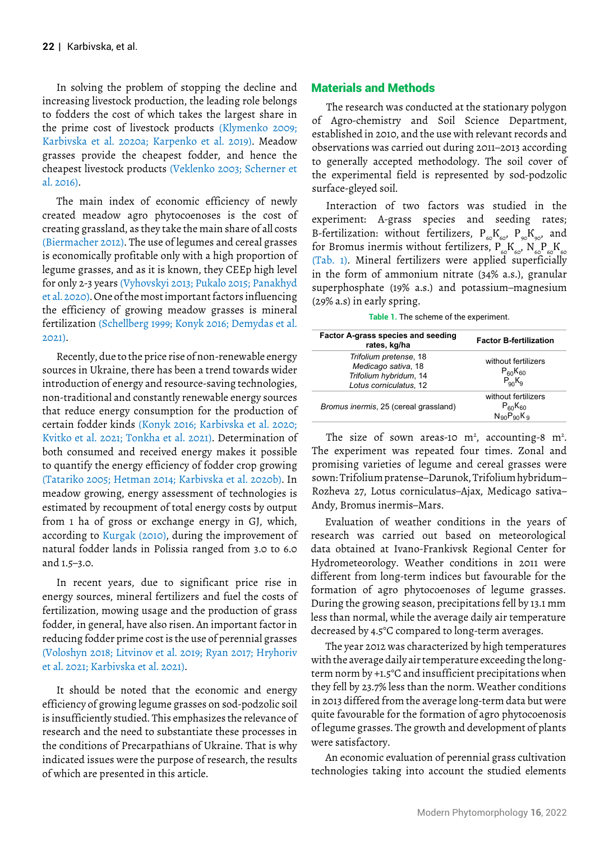In solving the problem of stopping the decline and increasing livestock production, the leading role belongs to fodders the cost of which takes the largest share in the prime cost of livestock products (Klymenko 2009; Karbivska et al. 2020a; Karpenko et al. 2019). Meadow grasses provide the cheapest fodder, and hence the cheapest livestock products (Veklenko 2003; Scherner et al. 2016).

The main index of economic efficiency of newly created meadow agro phytocoenoses is the cost of creating grassland, as they take the main share of all costs (Biermacher 2012). The use of legumes and cereal grasses is economically profitable only with a high proportion of legume grasses, and as it is known, they CEEp high level for only 2-3 years (Vyhovskyi 2013; Pukalo 2015; Panakhyd et al. 2020). One of the most important factors influencing the efficiency of growing meadow grasses is mineral fertilization (Schellberg 1999; Konyk 2016; Demydas et al. 2021).

Recently, due to the price rise of non-renewable energy sources in Ukraine, there has been a trend towards wider introduction of energy and resource-saving technologies, non-traditional and constantly renewable energy sources that reduce energy consumption for the production of certain fodder kinds (Konyk 2016; Karbivska et al. 2020; Kvitko et al. 2021; Tonkha et al. 2021). Determination of both consumed and received energy makes it possible to quantify the energy efficiency of fodder crop growing (Tatariko 2005; Hetman 2014; Karbivska et al. 2020b). In meadow growing, energy assessment of technologies is estimated by recoupment of total energy costs by output from 1 ha of gross or exchange energy in GJ, which, according to Kurgak (2010), during the improvement of natural fodder lands in Polissia ranged from 3.0 to 6.0 and 1.5–3.0.

In recent years, due to significant price rise in energy sources, mineral fertilizers and fuel the costs of fertilization, mowing usage and the production of grass fodder, in general, have also risen. An important factor in reducing fodder prime cost is the use of perennial grasses (Voloshyn 2018; Litvinov et al. 2019; Ryan 2017; Hryhoriv et al. 2021; Karbivska et al. 2021).

It should be noted that the economic and energy efficiency of growing legume grasses on sod-podzolic soil is insufficiently studied. This emphasizes the relevance of research and the need to substantiate these processes in the conditions of Precarpathians of Ukraine. That is why indicated issues were the purpose of research, the results of which are presented in this article.

# Materials and Methods

The research was conducted at the stationary polygon of Agro-chemistry and Soil Science Department, established in 2010, and the use with relevant records and observations was carried out during 2011–2013 according to generally accepted methodology. The soil cover of the experimental field is represented by sod-podzolic surface-gleyed soil.

Interaction of two factors was studied in the experiment: A-grass species and seeding rates; B-fertilization: without fertilizers,  $P_{60}K_{60}$ ,  $P_{90}K_{90}$ , and for Bromus inermis without fertilizers,  $P_{\epsilon}^{S}K_{\epsilon}^{S}N_{\epsilon}^{S}P_{\epsilon}K_{\epsilon}$ (Tab. 1). Mineral fertilizers were applied superficially in the form of ammonium nitrate (34% a.s.), granular superphosphate (19% a.s.) and potassium–magnesium (29% a.s) in early spring.

|  |  | Table 1. The scheme of the experiment. |
|--|--|----------------------------------------|
|  |  |                                        |

| Factor A-grass species and seeding<br>rates, kg/ha                                                | <b>Factor B-fertilization</b>                        |
|---------------------------------------------------------------------------------------------------|------------------------------------------------------|
| Trifolium pretense, 18<br>Medicago sativa, 18<br>Trifolium hybridum, 14<br>Lotus corniculatus, 12 | without fertilizers<br>$P_{60}K_{60}$<br>$P_{90}K_9$ |
| Bromus inermis, 25 (cereal grassland)                                                             | without fertilizers<br>$P_{60}K_{60}$<br>NgoPanKg    |

The size of sown areas-10  $m^2$ , accounting-8  $m^2$ . The experiment was repeated four times. Zonal and promising varieties of legume and cereal grasses were sown: Trifolium pratense–Darunok, Trifolium hybridum– Rozheva 27, Lotus corniculatus–Ajax, Medicago sativa– Andy, Bromus inermis–Mars.

Evaluation of weather conditions in the years of research was carried out based on meteorological data obtained at Ivano-Frankivsk Regional Center for Hydrometeorology. Weather conditions in 2011 were different from long-term indices but favourable for the formation of agro phytocoenoses of legume grasses. During the growing season, precipitations fell by 13.1 mm less than normal, while the average daily air temperature decreased by 4.5°C compared to long-term averages.

The year 2012 was characterized by high temperatures with the average daily air temperature exceeding the longterm norm by +1.5°C and insufficient precipitations when they fell by 23.7% less than the norm. Weather conditions in 2013 differed from the average long-term data but were quite favourable for the formation of agro phytocoenosis of legume grasses. The growth and development of plants were satisfactory.

An economic evaluation of perennial grass cultivation technologies taking into account the studied elements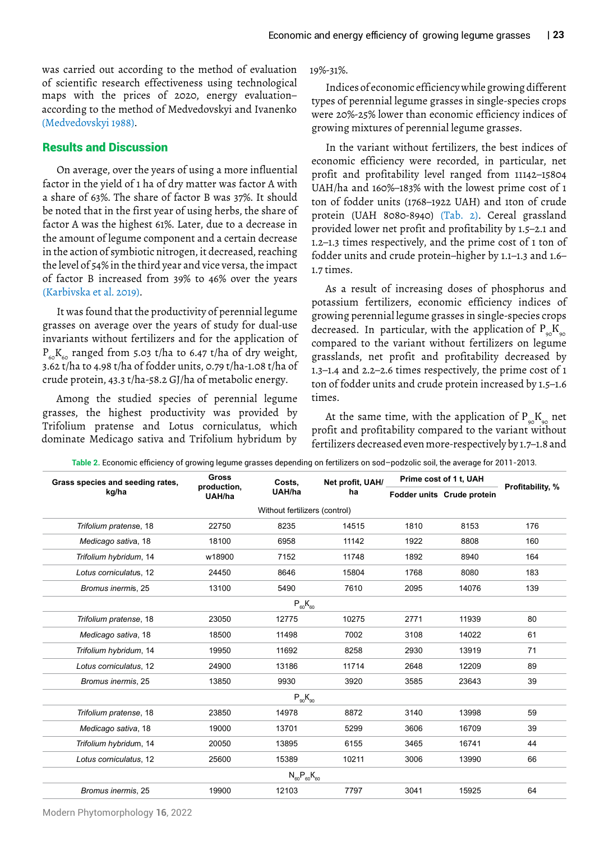maps with the prices of 2020, energy evaluation– according to the method of Medvedovskyi and Ivanenko (Medvedovskyi 1988). was carried out according to the method of evaluation of scientific research effectiveness using technological

# Results and Discussion

On average, over the years of using a more influential factor in the yield of 1 ha of dry matter was factor A with a share of 63%. The share of factor B was 37%. It should be noted that in the first year of using herbs, the share of factor A was the highest 61%. Later, due to a decrease in the amount of legume component and a certain decrease in the action of symbiotic nitrogen, it decreased, reaching the level of 54% in the third year and vice versa, the impact of factor B increased from 39% to 46% over the years (Karbivska et al. 2019).

It was found that the productivity of perennial legume grasses on average over the years of study for dual-use invariants without fertilizers and for the application of  $P_{60}K_{60}$  ranged from 5.03 t/ha to 6.47 t/ha of dry weight, 3.62 t/ha to 4.98 t/ha of fodder units, 0.79 t/ha-1.08 t/ha of crude protein, 43.3 t/ha-58.2 GJ/ha of metabolic energy.

Among the studied species of perennial legume grasses, the highest productivity was provided by Trifolium pratense and Lotus corniculatus, which dominate Medicago sativa and Trifolium hybridum by

### 19%-31%.

Indices of economic efficiency while growing different types of perennial legume grasses in single-species crops were 20%-25% lower than economic efficiency indices of growing mixtures of perennial legume grasses.

In the variant without fertilizers, the best indices of economic efficiency were recorded, in particular, net profit and profitability level ranged from 11142–15804 UAH/ha and 160%–183% with the lowest prime cost of 1 ton of fodder units (1768–1922 UAH) and 1ton of crude protein (UAH 8080-8940) (Tab. 2). Cereal grassland provided lower net profit and profitability by 1.5–2.1 and 1.2–1.3 times respectively, and the prime cost of 1 ton of fodder units and crude protein–higher by 1.1–1.3 and 1.6– 1.7 times.

As a result of increasing doses of phosphorus and potassium fertilizers, economic efficiency indices of growing perennial legume grasses in single-species crops compared to the variant without fertilizers on legume grasslands, net profit and profitability decreased by 1.3–1.4 and 2.2–2.6 times respectively, the prime cost of 1 ton of fodder units and crude protein increased by 1.5–1.6 times. decreased. In particular, with the application of  $P_{\infty}K_{\infty}$ 

At the same time, with the application of  $\rm P_{\rm 90}K_{\rm 90}$  net profit and profitability compared to the variant without fertilizers decreased even more-respectively by 1.7–1.8 and

| Grass species and seeding rates, | <b>Gross</b>                          | Costs.                        | Net profit, UAH/ | Prime cost of 1 t, UAH |                            | Profitability, % |
|----------------------------------|---------------------------------------|-------------------------------|------------------|------------------------|----------------------------|------------------|
| kg/ha                            | production,<br>UAH/ha<br>ha<br>UAH/ha |                               |                  |                        | Fodder units Crude protein |                  |
|                                  |                                       | Without fertilizers (control) |                  |                        |                            |                  |
| Trifolium pratense, 18           | 22750                                 | 8235                          | 14515            | 1810                   | 8153                       | 176              |
| Medicago sativa, 18              | 18100                                 | 6958                          | 11142            | 1922                   | 8808                       | 160              |
| Trifolium hybridum, 14           | w18900                                | 7152                          | 11748            | 1892                   | 8940                       | 164              |
| Lotus corniculatus, 12           | 24450                                 | 8646                          | 15804            | 1768                   | 8080                       | 183              |
| Bromus inermis, 25               | 13100                                 | 5490                          | 7610             | 2095                   | 14076                      | 139              |
|                                  |                                       | $P_{60}K_{60}$                |                  |                        |                            |                  |
| Trifolium pratense, 18           | 23050                                 | 12775                         | 10275            | 2771                   | 11939                      | 80               |
| Medicago sativa, 18              | 18500                                 | 11498                         | 7002             | 3108                   | 14022                      | 61               |
| Trifolium hybridum, 14           | 19950                                 | 11692                         | 8258             | 2930                   | 13919                      | 71               |
| Lotus corniculatus, 12           | 24900                                 | 13186                         | 11714            | 2648                   | 12209                      | 89               |
| Bromus inermis, 25               | 13850                                 | 9930                          | 3920             | 3585                   | 23643                      | 39               |
|                                  |                                       | $P_{90}K_{90}$                |                  |                        |                            |                  |
| Trifolium pratense, 18           | 23850                                 | 14978                         | 8872             | 3140                   | 13998                      | 59               |
| Medicago sativa, 18              | 19000                                 | 13701                         | 5299             | 3606                   | 16709                      | 39               |
| Trifolium hybridum, 14           | 20050                                 | 13895                         | 6155             | 3465                   | 16741                      | 44               |
| Lotus corniculatus, 12           | 25600                                 | 15389                         | 10211            | 3006                   | 13990                      | 66               |
|                                  |                                       | $N_{60}P_{60}K_{60}$          |                  |                        |                            |                  |
| Bromus inermis, 25               | 19900                                 | 12103                         | 7797             | 3041                   | 15925                      | 64               |

**Table 2.** Economic efficiency of growing legume grasses depending on fertilizers on sod–podzolic soil, the average for 2011-2013.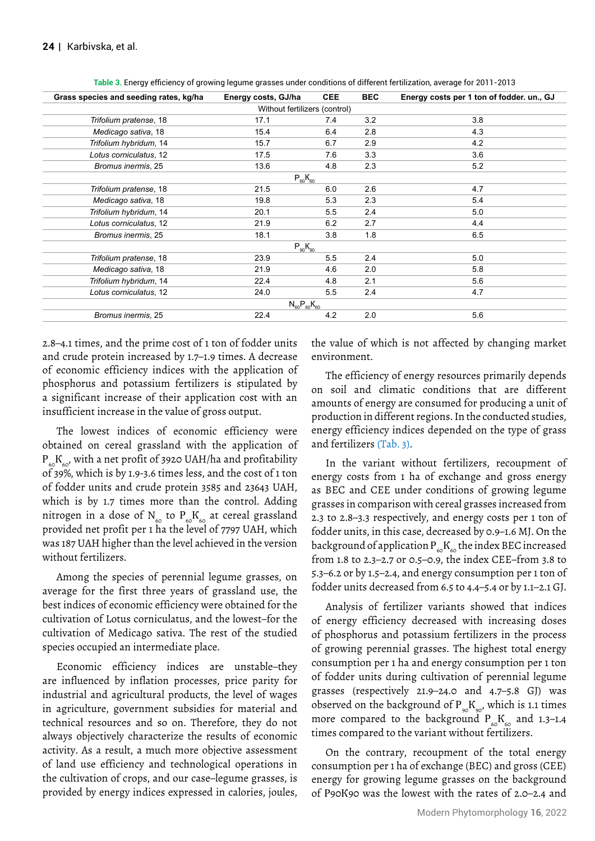| Grass species and seeding rates, kg/ha | Energy costs, GJ/ha           | <b>CEE</b> | <b>BEC</b> | Energy costs per 1 ton of fodder. un., GJ |  |  |  |  |
|----------------------------------------|-------------------------------|------------|------------|-------------------------------------------|--|--|--|--|
|                                        | Without fertilizers (control) |            |            |                                           |  |  |  |  |
| Trifolium pratense, 18                 | 17.1                          | 7.4        | 3.2        | 3.8                                       |  |  |  |  |
| Medicago sativa, 18                    | 15.4                          | 6.4        | 2.8        | 4.3                                       |  |  |  |  |
| Trifolium hybridum, 14                 | 15.7                          | 6.7        | 2.9        | 4.2                                       |  |  |  |  |
| Lotus corniculatus, 12                 | 17.5                          | 7.6        | 3.3        | 3.6                                       |  |  |  |  |
| Bromus inermis, 25                     | 13.6                          | 4.8        | 2.3        | 5.2                                       |  |  |  |  |
| $P_{60}K_{60}$                         |                               |            |            |                                           |  |  |  |  |
| Trifolium pratense, 18                 | 21.5                          | 6.0        | 2.6        | 4.7                                       |  |  |  |  |
| Medicago sativa, 18                    | 19.8                          | 5.3        | 2.3        | 5.4                                       |  |  |  |  |
| Trifolium hybridum, 14                 | 20.1                          | 5.5        | 2.4        | 5.0                                       |  |  |  |  |
| Lotus corniculatus, 12                 | 21.9                          | 6.2        | 2.7        | 4.4                                       |  |  |  |  |
| Bromus inermis, 25                     | 18.1                          | 3.8        | 1.8        | 6.5                                       |  |  |  |  |
| $P_{90}K_{90}$                         |                               |            |            |                                           |  |  |  |  |
| Trifolium pratense, 18                 | 23.9                          | 5.5        | 2.4        | 5.0                                       |  |  |  |  |
| Medicago sativa, 18                    | 21.9                          | 4.6        | 2.0        | 5.8                                       |  |  |  |  |
| Trifolium hybridum, 14                 | 22.4                          | 4.8        | 2.1        | 5.6                                       |  |  |  |  |
| Lotus corniculatus, 12                 | 24.0                          | 5.5        | 2.4        | 4.7                                       |  |  |  |  |
|                                        | $N_{60}P_{60}K_{60}$          |            |            |                                           |  |  |  |  |
| Bromus inermis, 25                     | 22.4                          | 4.2        | 2.0        | 5.6                                       |  |  |  |  |

**Table 3.** Energy efficiency of growing legume grasses under conditions of different fertilization, average for 2011-2013

2.8–4.1 times, and the prime cost of 1 ton of fodder units and crude protein increased by 1.7–1.9 times. A decrease of economic efficiency indices with the application of phosphorus and potassium fertilizers is stipulated by a significant increase of their application cost with an insufficient increase in the value of gross output.

The lowest indices of economic efficiency were obtained on cereal grassland with the application of  $P_{\epsilon}$  $K_{\epsilon 0}$ , with a net profit of 3920 UAH/ha and profitability of 39%, which is by 1.9-3.6 times less, and the cost of 1 ton of fodder units and crude protein 3585 and 23643 UAH, which is by 1.7 times more than the control. Adding nitrogen in a dose of N<sub>60</sub> to P<sub>60</sub>K<sub>60</sub> at cereal grassland provided net profit per 1 ha the level of 7797 UAH, which was 187 UAH higher than the level achieved in the version without fertilizers.

Among the species of perennial legume grasses, on average for the first three years of grassland use, the best indices of economic efficiency were obtained for the cultivation of Lotus corniculatus, and the lowest–for the cultivation of Medicago sativa. The rest of the studied species occupied an intermediate place.

Economic efficiency indices are unstable–they are influenced by inflation processes, price parity for industrial and agricultural products, the level of wages in agriculture, government subsidies for material and technical resources and so on. Therefore, they do not always objectively characterize the results of economic activity. As a result, a much more objective assessment of land use efficiency and technological operations in the cultivation of crops, and our case–legume grasses, is provided by energy indices expressed in calories, joules,

the value of which is not affected by changing market environment.

The efficiency of energy resources primarily depends on soil and climatic conditions that are different amounts of energy are consumed for producing a unit of production in different regions. In the conducted studies, energy efficiency indices depended on the type of grass and fertilizers (Tab. 3).

In the variant without fertilizers, recoupment of energy costs from 1 ha of exchange and gross energy as BEC and CEE under conditions of growing legume grasses in comparison with cereal grasses increased from 2.3 to 2.8–3.3 respectively, and energy costs per 1 ton of fodder units, in this case, decreased by 0.9–1.6 MJ. On the background of application  $P_{60}K_{60}$  the index BEC increased from 1.8 to 2.3–2.7 or 0.5–0.9, the index CEE–from 3.8 to 5.3–6.2 or by 1.5–2.4, and energy consumption per 1 ton of fodder units decreased from 6.5 to 4.4–5.4 or by 1.1–2.1 GJ.

Analysis of fertilizer variants showed that indices of energy efficiency decreased with increasing doses of phosphorus and potassium fertilizers in the process of growing perennial grasses. The highest total energy consumption per 1 ha and energy consumption per 1 ton of fodder units during cultivation of perennial legume grasses (respectively 21.9–24.0 and 4.7–5.8 GJ) was observed on the background of  $P_{\infty}K_{\infty}$ , which is 1.1 times more compared to the background  $P_{60}K_{60}$  and 1.3–1.4 times compared to the variant without fertilizers.

On the contrary, recoupment of the total energy consumption per 1 ha of exchange (BEC) and gross (CEE) energy for growing legume grasses on the background of Р90К90 was the lowest with the rates of 2.0–2.4 and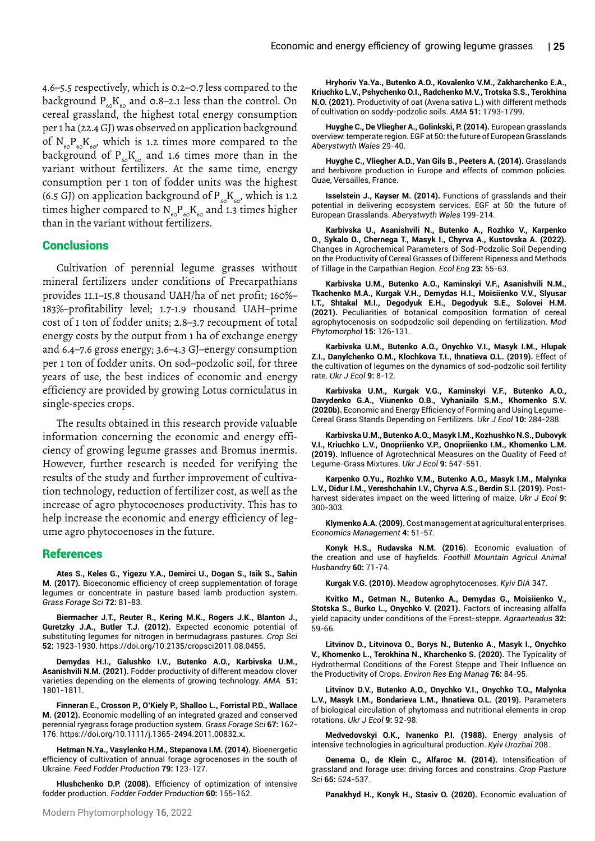4.6–5.5 respectively, which is 0.2–0.7 less compared to the background  $P_{60}K_{60}$  and 0.8–2.1 less than the control. On cereal grassland, the highest total energy consumption per 1 ha (22.4 GJ) was observed on application background of  $N_{60}P_{60}K_{60}$ , which is 1.2 times more compared to the background of  $P_{60}K_{60}$  and 1.6 times more than in the variant without fertilizers. At the same time, energy consumption per 1 ton of fodder units was the highest (6.5 GJ) on application background of  $P_{60}K_{60}$ , which is 1.2 times higher compared to  $N_{60}P_{60}K_{60}$  and 1.3 times higher than in the variant without fertilizers.

## **Conclusions**

Cultivation of perennial legume grasses without mineral fertilizers under conditions of Precarpathians provides 11.1–15.8 thousand UAH/ha of net profit; 160%– 183%–profitability level; 1.7-1.9 thousand UAH–prime cost of 1 ton of fodder units; 2.8–3.7 recoupment of total energy costs by the output from 1 ha of exchange energy and 6.4–7.6 gross energy; 3.6–4.3 GJ–energy consumption per 1 ton of fodder units. On sod–podzolic soil, for three years of use, the best indices of economic and energy efficiency are provided by growing Lotus corniculatus in single-species crops.

The results obtained in this research provide valuable information concerning the economic and energy efficiency of growing legume grasses and Bromus inermis. However, further research is needed for verifying the results of the study and further improvement of cultivation technology, reduction of fertilizer cost, as well as the increase of agro phytocoenoses productivity. This has to help increase the economic and energy efficiency of legume agro phytocoenoses in the future.

#### References

**Ates S., Keles G., Yigezu Y.A., Demirci U., Dogan S., Isik S., Sahin M. (2017).** [Bioeconomic efficiency of creep supplementation of forage](https://scholar.google.com/scholar?hl=en&as_sdt=0%2C5&q=Ates+S.%2C+Keles+G.%2C+Yigezu+Y.A.%2C+Demirci+U.%2C+Dogan+S.%2C+Isik+S.%2C+Sahin+M.+%282017%29.+Bioeconomic+efficiency+of+creep+supplementation+of+forage+legumes+or+concentrate+in+pasture+based+lamb+production+system.+Grass+and+Forage+Science+72%3A+81-83.&btnG=)  [legumes or concentrate in pasture based lamb production system](https://scholar.google.com/scholar?hl=en&as_sdt=0%2C5&q=Ates+S.%2C+Keles+G.%2C+Yigezu+Y.A.%2C+Demirci+U.%2C+Dogan+S.%2C+Isik+S.%2C+Sahin+M.+%282017%29.+Bioeconomic+efficiency+of+creep+supplementation+of+forage+legumes+or+concentrate+in+pasture+based+lamb+production+system.+Grass+and+Forage+Science+72%3A+81-83.&btnG=). *Grass Forage Sci* **72:** 81-83.

**Biermacher J.T., Reuter R., Kering M.K., Rogers J.K., Blanton J., Guretzky J.A., Butler T.J. (2012).** [Expected economic potential of](https://digitalcommons.unl.edu/agronomyfacp)  [substituting legumes for nitrogen in bermudagrass pastures](https://digitalcommons.unl.edu/agronomyfacp). *Crop Sci*  **52:** 1923-1930. <https://doi.org/10.2135/cropsci2011.08.0455>**.**

**Demydas H.I., Galushko I.V., Butenko A.O., Karbivska U.M., Asanishvili N.M. (2021).** [Fodder productivity of different meadow clover](http://lib.udau.edu.ua/handle/123456789/8846)  [varieties depending on the elements of growing technology](http://lib.udau.edu.ua/handle/123456789/8846). *AMA* **51:** 1801-1811.

**Finneran E., Crosson P., O'Kiely P., Shalloo L., Forristal P.D., Wallace M. (2012).** [Economic modelling of an integrated grazed and conserved](https://onlinelibrary.wiley.com/doi/abs/10.1111/j.1365-2494.2011.00832.x)  [perennial ryegrass forage production system.](https://onlinelibrary.wiley.com/doi/abs/10.1111/j.1365-2494.2011.00832.x) *Grass Forage Sci* **67:** 162- 176.<https://doi.org/10.1111/j.1365-2494.2011.00832.x>**.**

**Hetman N.Ya., Vasylenko H.M., Stepanova I.M. (2014).** [Bioenergetic](https://fri-journal.com/index.php/journal/article/view/436)  [efficiency of cultivation of annual forage agrocenoses in the south of](https://fri-journal.com/index.php/journal/article/view/436)  [Ukraine](https://fri-journal.com/index.php/journal/article/view/436). *Feed Fodder Production* **79:** 123-127.

**Hlushchenko D.P. (2008).** [Efficiency of optimization of intensive](https://scholar.google.com/scholar?hl=en&as_sdt=0%2C5&q=Ates+S.%2C+Keles+G.%2C+Yigezu+Y.A.%2C+Demirci+U.%2C+Dogan+S.%2C+Isik+S.%2C+Sahin+M.+%282017%29.+Bioeconomic+efficiency+of+creep+supplementation+of+forage+legumes+or+concentrate+in+pasture+based+lamb+production+system.+Grass+and+Forage+Science+72%3A+81-83.&btnG=)  [fodder production.](https://scholar.google.com/scholar?hl=en&as_sdt=0%2C5&q=Ates+S.%2C+Keles+G.%2C+Yigezu+Y.A.%2C+Demirci+U.%2C+Dogan+S.%2C+Isik+S.%2C+Sahin+M.+%282017%29.+Bioeconomic+efficiency+of+creep+supplementation+of+forage+legumes+or+concentrate+in+pasture+based+lamb+production+system.+Grass+and+Forage+Science+72%3A+81-83.&btnG=) *Fodder Fodder Production* **60:** 155-162.

**Hryhoriv Ya.Ya., Butenko A.O., Kovalenko V.M., Zakharchenko E.A., Kriuchko L.V., Pshychenko O.I., Radchenko M.V., Trotska S.S., Terokhina N.O. (2021).** [Productivity of oat \(Avena sativa L.\) with different methods](https://www.phytomorphology.com/articles/economic-and-energy-efficiency-of-growing-cereal-grasses.pdf)  [of cultivation on soddy-podzolic soils](https://www.phytomorphology.com/articles/economic-and-energy-efficiency-of-growing-cereal-grasses.pdf). *AMA* **51:** 1793-1799.

**Huyghe C., De Vliegher A., Golinkski, P. (2014).** [European grasslands](https://pureportal.ilvo.be/nl/publications/european-grasslands-overview-temperate-region) [overview: temperate region](https://pureportal.ilvo.be/nl/publications/european-grasslands-overview-temperate-region). EGF at 50: the future of European Grasslands *Aberystwyth Wales* 29-40.

**Huyghe C., Vliegher A.D., Van Gils B., Peeters A. (2014).** [Grasslands](https://books.google.co.in/books?hl=en&lr=&id=BR2eAwAAQBAJ&oi=fnd&pg=PA7&dq=Huyghe+C.,+Vliegher+A.D.,+Van+Gils+B.,+Peeters+A.+(2014).+Grasslands+and+herbivore+production+in+Europe+and+effects+of+common+policies.+Quae,+Versailles,+France&ots=tz50Mv4Vgi&sig=X5KgyD7D6kzE0Zjj8mgLpXMTGgo&redir_esc=y#v=onepage&q&f=false)  [and herbivore production in Europe and effects of common policies.](https://books.google.co.in/books?hl=en&lr=&id=BR2eAwAAQBAJ&oi=fnd&pg=PA7&dq=Huyghe+C.,+Vliegher+A.D.,+Van+Gils+B.,+Peeters+A.+(2014).+Grasslands+and+herbivore+production+in+Europe+and+effects+of+common+policies.+Quae,+Versailles,+France&ots=tz50Mv4Vgi&sig=X5KgyD7D6kzE0Zjj8mgLpXMTGgo&redir_esc=y#v=onepage&q&f=false) Quae, Versailles, France.

**Isselstein J., Kayser M. (2014).** [Functions of grasslands and their](https://www.europeangrassland.org/fileadmin/documents/Infos/Printed_Matter/Proceedings/EGF2014.pdf#page=825)  [potential in delivering ecosystem services](https://www.europeangrassland.org/fileadmin/documents/Infos/Printed_Matter/Proceedings/EGF2014.pdf#page=825). EGF at 50: the future of European Grasslands. *Aberystwyth Wales* 199-214.

**Karbivska U., Asanishvili N., Butenko A., Rozhko V., Karpenko O., Sykalo О., Chernega T., Masyk I., Chyrva A., Kustovska A. (2022).**  [Changes in Agrochemical Parameters of Sod-Podzolic Soil Depending](file:///D:/New%20System/Tushar%20Journals/CLI(FMCI)/CLI/FMCI-Vol-12/FMCI-Vol-12.1/FMCI-Vol-12.1_AI/../../Admin/Downloads/ChangesinAgrochemical.pdf)  [on the Productivity of Cereal Grasses of Different Ripeness and Methods](file:///D:/New%20System/Tushar%20Journals/CLI(FMCI)/CLI/FMCI-Vol-12/FMCI-Vol-12.1/FMCI-Vol-12.1_AI/../../Admin/Downloads/ChangesinAgrochemical.pdf)  [of Tillage in the Carpathian Region.](file:///D:/New%20System/Tushar%20Journals/CLI(FMCI)/CLI/FMCI-Vol-12/FMCI-Vol-12.1/FMCI-Vol-12.1_AI/../../Admin/Downloads/ChangesinAgrochemical.pdf) *Ecol Eng* **23:** 55-63.

**Karbivska U.M., Butenko A.O., Kaminskyi V.F., Asanishvili N.M., Tkachenko M.A., Kurgak V.Н., Demydas H.I., Moisiienko V.V., Slyusar I.T., Shtakal М.І., Degodyuk E.Н., Degodyuk S.E., Solovei Н.М. (2021).** [Peculiarities of botanical composition formation of cereal](https://scholar.google.com/scholar?hl=en&as_sdt=0%2C5&q=Ates+S.%2C+Keles+G.%2C+Yigezu+Y.A.%2C+Demirci+U.%2C+Dogan+S.%2C+Isik+S.%2C+Sahin+M.+%282017%29.+Bioeconomic+efficiency+of+creep+supplementation+of+forage+legumes+or+concentrate+in+pasture+based+lamb+production+system.+Grass+and+Forage+Science+72%3A+81-83.&btnG=)  [agrophytocenosis on sodpodzolic soil depending on fertilization.](https://scholar.google.com/scholar?hl=en&as_sdt=0%2C5&q=Ates+S.%2C+Keles+G.%2C+Yigezu+Y.A.%2C+Demirci+U.%2C+Dogan+S.%2C+Isik+S.%2C+Sahin+M.+%282017%29.+Bioeconomic+efficiency+of+creep+supplementation+of+forage+legumes+or+concentrate+in+pasture+based+lamb+production+system.+Grass+and+Forage+Science+72%3A+81-83.&btnG=) *Mod Phytomorphol* **15:** 126-131.

**Karbivska U.M., Butenko A.O., Onychko V.I., Masyk I.M., Hlupak Z.I., Danylchenko O.M., Klochkova T.I., Ihnatieva O.L. (2019).** [Effect of](https://cyberleninka.ru/article/n/effect-of-the-cultivation-of-legumes-on-the-dynamics-of-sod-podzolic-soil-fertility-rate)  [the cultivation of legumes on the dynamics of sod-podzolic soil fertility](https://cyberleninka.ru/article/n/effect-of-the-cultivation-of-legumes-on-the-dynamics-of-sod-podzolic-soil-fertility-rate)  [rate.](https://cyberleninka.ru/article/n/effect-of-the-cultivation-of-legumes-on-the-dynamics-of-sod-podzolic-soil-fertility-rate) *Ukr J Ecol* **9:** 8-12.

**Karbivska U.M., Kurgak V.G., Kaminskyi V.F., Butenko A.O., Davydenko G.A., Viunenko O.B., Vyhaniailo S.M., Khomenko S.V. (2020b).** [Economic and Energy Efficiency of Forming and Using Legume-](https://cyberleninka.ru/article/n/economic-and-energy-efficiency-of-forming-and-using-legume-cereal-grass-stands-depending-on-fertilizers)[Cereal Grass Stands Depending on Fertilizers](https://cyberleninka.ru/article/n/economic-and-energy-efficiency-of-forming-and-using-legume-cereal-grass-stands-depending-on-fertilizers). *Ukr J Ecol* **10:** 284-288.

**Karbivska U.М., Butenko A.O., Masyk I.M., Kozhushko N.S., Dubovyk V.I., Kriuchko L.V., Onopriienko V.P., Onopriienko I.M., Khomenko L.M. (2019).** [Influence of Agrotechnical Measures on the Quality of Feed of](https://cyberleninka.ru/article/n/influence-of-agrotechnical-measures-on-the-quality-of-feed-of-legume-grass-mixtures)  [Legume-Grass Mixtures.](https://cyberleninka.ru/article/n/influence-of-agrotechnical-measures-on-the-quality-of-feed-of-legume-grass-mixtures) *Ukr J Ecol* **9:** 547-551.

**Karpenko O.Yu., Rozhko V.M., Butenko A.O., Masyk I.M., Malynka L.V., Didur I.M., Vereshchahin I.V., Chyrva A.S., Berdin S.I. (2019).** [Post](https://cyberleninka.ru/article/n/post-harvest-siderates-impact-on-the-weed-littering-of-maize)[harvest siderates impact on the weed littering of maize.](https://cyberleninka.ru/article/n/post-harvest-siderates-impact-on-the-weed-littering-of-maize) *Ukr J Ecol* **9:** 300-303.

**Klymenko A.A. (2009).** [Cost management at agricultural enterprises.](https://cyberleninka.ru/article/n/economic-and-energy-efficiency-of-forming-and-using-legume-cereal-grass-stands-depending-on-fertilizers) *Economics Management* **4:** 51-57.

**Konyk H.S., Rudavska N.M. (2016**). [Economic evaluation of](https://scholar.google.com/scholar?hl=en&as_sdt=0%2C5&q=Konyk+H.S.%2C+Rudavska+N.M.+%282016%29.+Economic+evaluation+of+the+creation+and+use+of+hayfields.+Foothill+and+mountain+agriculture+and+animal+husbandry+60%3A+71-74.&btnG=)  [the creation and use of hayfields](https://scholar.google.com/scholar?hl=en&as_sdt=0%2C5&q=Konyk+H.S.%2C+Rudavska+N.M.+%282016%29.+Economic+evaluation+of+the+creation+and+use+of+hayfields.+Foothill+and+mountain+agriculture+and+animal+husbandry+60%3A+71-74.&btnG=). *Foothill Mountain Agricul Animal Husbandry* **60:** 71-74.

**Kurgak V.G. (2010).** [Meadow agrophytocenoses](https://scholar.google.com/scholar?hl=en&as_sdt=0%2C5&q=Kurgak+V.G.+%282010%29.+Meadow+agrophytocenoses.+Kyiv+DIA+347.&btnG=). *Kyiv DIA* 347.

**Kvitko M., Getman N., Butenko A., Demydas G., Moisiienko V., Stotska S., Burko L., Onychko V. (2021).** [Factors of increasing alfalfa](https://dspace.emu.ee/handle/10492/6880)  [yield capacity under conditions of the Forest-steppe](https://dspace.emu.ee/handle/10492/6880). *Agraarteadus* **32:** 59-66.

**Litvinov D., Litvinova O., Borys N., Butenko A., Masyk I., Onychko V., Khomenko L., Terokhina N., Kharchenko S. (2020).** [The Typicality of](https://scholar.google.com/scholar?hl=en&as_sdt=0%2C5&q=Litvinov+D.%2C+Litvinova+O.%2C+Borys+N.%2C+Butenko+A.%2C+Masyk+I.%2C+Onychko+V.%2C+Khomenko+L.%2C+Terokhina+N.%2C+Kharchenko+S.+%282020%29.+The+Typicality+of+Hydrothermal+Conditions+of+the+Forest+Steppe+and+Their+Influence+on+the+Productivity+of+Crops.+Journal+of+Environmental+Research%2C+Engineering+and+Management+76%3A+84-95.+DOI+10.5755%2Fj01.erem.76.3.25365&btnG=)  [Hydrothermal Conditions of the Forest Steppe and Their Influence on](https://scholar.google.com/scholar?hl=en&as_sdt=0%2C5&q=Litvinov+D.%2C+Litvinova+O.%2C+Borys+N.%2C+Butenko+A.%2C+Masyk+I.%2C+Onychko+V.%2C+Khomenko+L.%2C+Terokhina+N.%2C+Kharchenko+S.+%282020%29.+The+Typicality+of+Hydrothermal+Conditions+of+the+Forest+Steppe+and+Their+Influence+on+the+Productivity+of+Crops.+Journal+of+Environmental+Research%2C+Engineering+and+Management+76%3A+84-95.+DOI+10.5755%2Fj01.erem.76.3.25365&btnG=)  [the Productivity of Crops.](https://scholar.google.com/scholar?hl=en&as_sdt=0%2C5&q=Litvinov+D.%2C+Litvinova+O.%2C+Borys+N.%2C+Butenko+A.%2C+Masyk+I.%2C+Onychko+V.%2C+Khomenko+L.%2C+Terokhina+N.%2C+Kharchenko+S.+%282020%29.+The+Typicality+of+Hydrothermal+Conditions+of+the+Forest+Steppe+and+Their+Influence+on+the+Productivity+of+Crops.+Journal+of+Environmental+Research%2C+Engineering+and+Management+76%3A+84-95.+DOI+10.5755%2Fj01.erem.76.3.25365&btnG=) *Environ Res Eng Manag* **76:** 84-95.

**Litvinov D.V., Butenko A.O., Onychko V.I., Onychko T.O., Malynka L.V., Masyk I.M., Bondarieva L.M., Ihnatieva O.L. (2019).** [Parameters](https://cyberleninka.ru/article/n/parameters-of-biological-circulation-of-phytomass-and-nutritional-elements-in-crop-rotations)  [of biological circulation of phytomass and nutritional elements in crop](https://cyberleninka.ru/article/n/parameters-of-biological-circulation-of-phytomass-and-nutritional-elements-in-crop-rotations)  [rotations.](https://cyberleninka.ru/article/n/parameters-of-biological-circulation-of-phytomass-and-nutritional-elements-in-crop-rotations) *Ukr J Ecol* **9:** 92-98.

**Medvedovskyi O.K., Ivanenko P.I. (1988).** [Energy analysis of](https://scholar.google.com/scholar?hl=en&as_sdt=0%2C5&q=Medvedovskyi+O.K.%2C+Ivanenko+P.I.+%281988%29.+Energy+analysis+of+intensive+technologies+in+agricultural+production.+Kyiv+Urozhai+208.&btnG=)  [intensive technologies in agricultural production.](https://scholar.google.com/scholar?hl=en&as_sdt=0%2C5&q=Medvedovskyi+O.K.%2C+Ivanenko+P.I.+%281988%29.+Energy+analysis+of+intensive+technologies+in+agricultural+production.+Kyiv+Urozhai+208.&btnG=) *Kyiv Urozhai* 208.

**Oenema O., de Klein C., Alfaroc M. (2014).** [Intensification of](https://www.publish.csiro.au/CP/CP14001)  [grassland and forage use: driving forces and constrains.](https://www.publish.csiro.au/CP/CP14001) *Crop Pasture Sci* **65:** 524-537.

**Panakhyd H., Konyk H., Stasiv O. (2020).** [Economic evaluation of](https://scholar.google.com/scholar?hl=en&as_sdt=0%2C5&q=Ates+S.%2C+Keles+G.%2C+Yigezu+Y.A.%2C+Demirci+U.%2C+Dogan+S.%2C+Isik+S.%2C+Sahin+M.+%282017%29.+Bioeconomic+efficiency+of+creep+supplementation+of+forage+legumes+or+concentrate+in+pasture+based+lamb+production+system.+Grass+and+Forage+Science+72%3A+81-83.&btnG=)